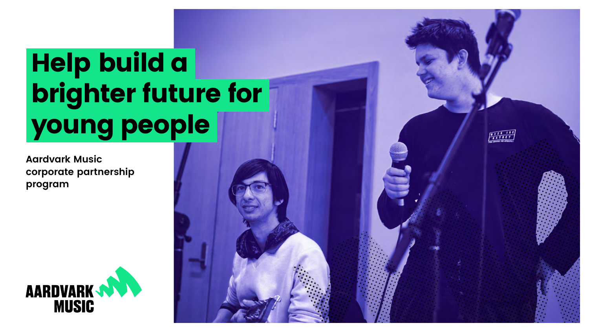# Help build a brighter future for young people

**Aardvark Music corporate partnership program**



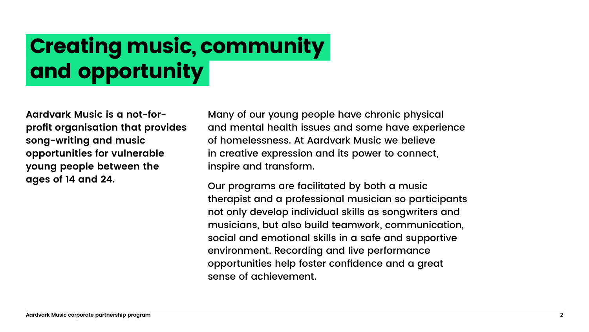## Creating music, community and opportunity

**Aardvark Music is a not-forprofit organisation that provides song-writing and music opportunities for vulnerable young people between the ages of 14 and 24.** 

Many of our young people have chronic physical and mental health issues and some have experience of homelessness. At Aardvark Music we believe in creative expression and its power to connect, inspire and transform.

Our programs are facilitated by both a music therapist and a professional musician so participants not only develop individual skills as songwriters and musicians, but also build teamwork, communication, social and emotional skills in a safe and supportive environment. Recording and live performance opportunities help foster confidence and a great sense of achievement.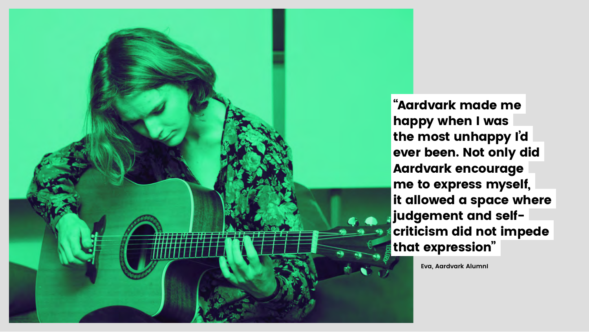**Eva, Aardvark AlumnI**



"Aardvark made me happy when I was the most unhappy I'd ever been. Not only did Aardvark encourage me to express myself, it allowed a space where judgement and selfcriticism did not impede that expression"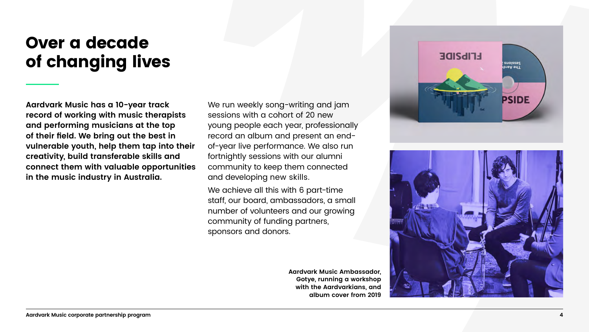



### Over a decade of changing lives

**Aardvark Music has a 10-year track record of working with music therapists and performing musicians at the top of their field. We bring out the best in vulnerable youth, help them tap into their creativity, build transferable skills and connect them with valuable opportunities in the music industry in Australia.** 

We run weekly song-writing and jam sessions with a cohort of 20 new young people each year, professionally record an album and present an endof-year live performance. We also run fortnightly sessions with our alumni community to keep them connected and developing new skills.

We achieve all this with 6 part-time staff, our board, ambassadors, a small number of volunteers and our growing community of funding partners, sponsors and donors.

> **Aardvark Music Ambassador, Gotye, running a workshop with the Aardvarkians, and album cover from 2019**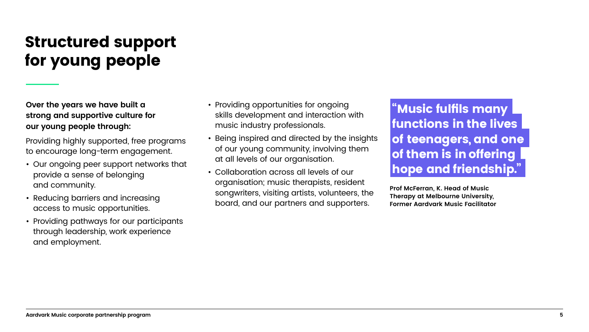### Structured support for young people

**Over the years we have built a strong and supportive culture for our young people through:**

Providing highly supported, free programs to encourage long-term engagement.

- Our ongoing peer support networks that provide a sense of belonging and community.
- Reducing barriers and increasing access to music opportunities.
- Providing pathways for our participants through leadership, work experience and employment.
- Providing opportunities for ongoing skills development and interaction with music industry professionals.
- Being inspired and directed by the insights of our young community, involving them at all levels of our organisation.
- Collaboration across all levels of our organisation; music therapists, resident songwriters, visiting artists, volunteers, the board, and our partners and supporters.

#### "Music fulfils many functions in the lives of teenagers, and one of them is in offering hope and friendship."

**Prof McFerran, K. Head of Music Therapy at Melbourne University, Former Aardvark Music Facilitator**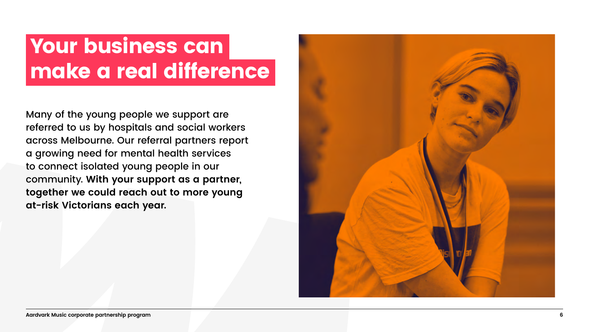## Your business can make a real difference

Many of the young people we support are referred to us by hospitals and social workers across Melbourne. Our referral partners report a growing need for mental health services to connect isolated young people in our community. **With your support as a partner, together we could reach out to more young at-risk Victorians each year.**

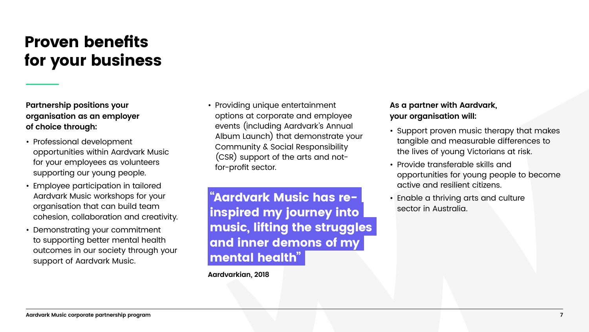#### Proven benefits for your business

**Partnership positions your organisation as an employer of choice through:**

- Professional development opportunities within Aardvark Music for your employees as volunteers supporting our young people.
- Employee participation in tailored Aardvark Music workshops for your organisation that can build team cohesion, collaboration and creativity.
- Demonstrating your commitment to supporting better mental health outcomes in our society through your support of Aardvark Music.

• Providing unique entertainment options at corporate and employee events (including Aardvark's Annual Album Launch) that demonstrate your Community & Social Responsibility (CSR) support of the arts and notfor-profit sector.

#### **As a partner with Aardvark, your organisation will:**

- Support proven music therapy that makes tangible and measurable differences to the lives of young Victorians at risk.
- Provide transferable skills and opportunities for young people to become active and resilient citizens.
- Enable a thriving arts and culture sector in Australia.

"Aardvark Music has reinspired my journey into music, lifting the struggles and inner demons of my mental health"

**Aardvarkian, 2018**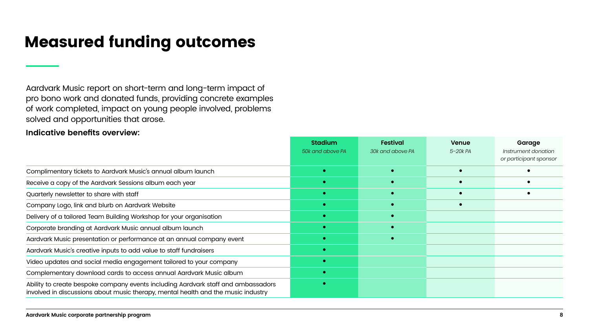### Measured funding outcomes

|                                                                                                                                                                        | <b>Stadium</b>   | <b>Festival</b>  | <b>Venue</b> | Garage                                        |
|------------------------------------------------------------------------------------------------------------------------------------------------------------------------|------------------|------------------|--------------|-----------------------------------------------|
|                                                                                                                                                                        | 50k and above PA | 30k and above PA | 5-20k PA     | Instrument donation<br>or participant sponsor |
| Complimentary tickets to Aardvark Music's annual album launch                                                                                                          |                  |                  |              |                                               |
| Receive a copy of the Aardvark Sessions album each year                                                                                                                |                  |                  |              |                                               |
| Quarterly newsletter to share with staff                                                                                                                               |                  |                  |              |                                               |
| Company Logo, link and blurb on Aardvark Website                                                                                                                       |                  |                  |              |                                               |
| Delivery of a tailored Team Building Workshop for your organisation                                                                                                    |                  |                  |              |                                               |
| Corporate branding at Aardvark Music annual album launch                                                                                                               |                  |                  |              |                                               |
| Aardvark Music presentation or performance at an annual company event                                                                                                  |                  |                  |              |                                               |
| Aardvark Music's creative inputs to add value to staff fundraisers                                                                                                     |                  |                  |              |                                               |
| Video updates and social media engagement tailored to your company                                                                                                     |                  |                  |              |                                               |
| Complementary download cards to access annual Aardvark Music album                                                                                                     |                  |                  |              |                                               |
| Ability to create bespoke company events including Aardvark staff and ambassadors<br>involved in discussions about music therapy, mental health and the music industry |                  |                  |              |                                               |

Aardvark Music report on short-term and long-term impact of pro bono work and donated funds, providing concrete examples of work completed, impact on young people involved, problems solved and opportunities that arose.

**Indicative benefits overview:**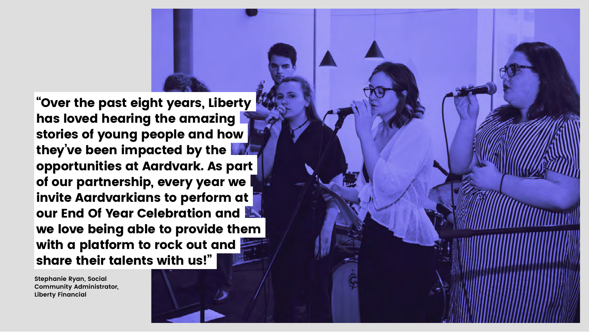**Stephanie Ryan, Social Community Administrator, Liberty Financial**



"Over the past eight years, Liberty has loved hearing the amazing stories of young people and how they've been impacted by the opportunities at Aardvark. As part of our partnership, every year we invite Aardvarkians to perform at our End Of Year Celebration and we love being able to provide them with a platform to rock out and share their talents with us!"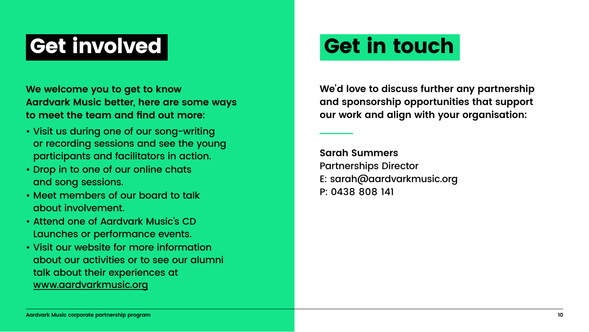

## Get involved Get in touch

**We welcome you to get to know Aardvark Music better, here are some ways to meet the team and find out more:**

- Visit us during one of our song-writing or recording sessions and see the young participants and facilitators in action.
- Drop in to one of our online chats and song sessions.
- Meet members of our board to talk about involvement.
- Attend one of Aardvark Music's CD Launches or performance events.
- Visit our website for more information about our activities or to see our alumni talk about their experiences at www.aardvarkmusic.org

#### **We'd love to discuss further any partnership and sponsorship opportunities that support our work and align with your organisation:**

**Sarah Summers** Partnerships Director E: sarah@aardvarkmusic.org P: 0438 808 141